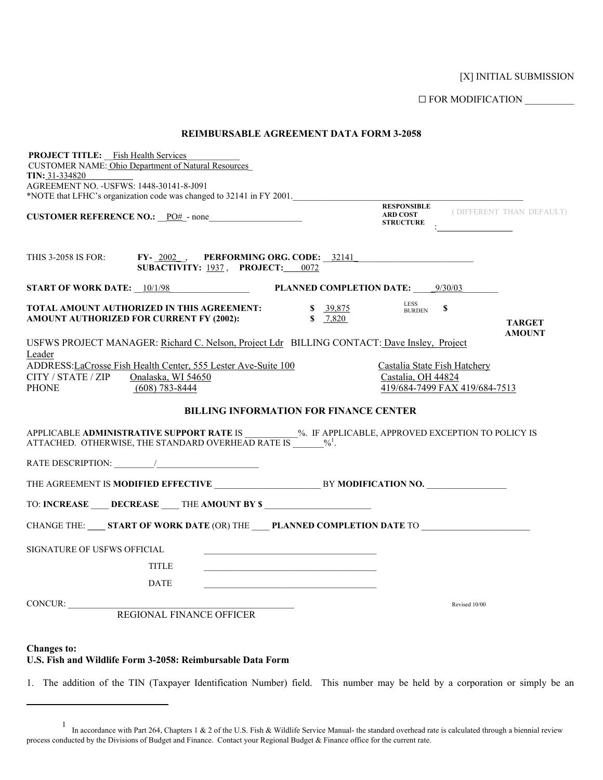[X] INITIAL SUBMISSION

G FOR MODIFICATION \_\_\_\_\_\_\_\_\_\_

| <b>REIMBURSABLE AGREEMENT DATA FORM 3-2058</b>                                                                                                                                                                        |                                           |                                                    |                                                                                     |                                             |
|-----------------------------------------------------------------------------------------------------------------------------------------------------------------------------------------------------------------------|-------------------------------------------|----------------------------------------------------|-------------------------------------------------------------------------------------|---------------------------------------------|
| <b>PROJECT TITLE:</b> Fish Health Services<br><b>CUSTOMER NAME: Ohio Department of Natural Resources</b><br><b>TIN: 31-334820</b>                                                                                     |                                           |                                                    |                                                                                     |                                             |
| AGREEMENT NO. - USFWS: 1448-30141-8-J091                                                                                                                                                                              |                                           |                                                    |                                                                                     |                                             |
| *NOTE that LFHC's organization code was changed to 32141 in FY 2001.                                                                                                                                                  |                                           |                                                    |                                                                                     |                                             |
| CUSTOMER REFERENCE NO.: PO# - none                                                                                                                                                                                    |                                           | <b>STRUCTURE</b>                                   | $\mathcal{F}^{\text{max}}_{\text{max}}$ and $\mathcal{F}^{\text{max}}_{\text{max}}$ | <b>RESPONSIBLE</b> (DIFFERENT THAN DEFAULT) |
| THIS 3-2058 IS FOR: FY- 2002 RERFORMING ORG. CODE: 32141<br>SUBACTIVITY: 1937, PROJECT: 0072                                                                                                                          |                                           |                                                    |                                                                                     |                                             |
| START OF WORK DATE: 10/1/98 PLANNED COMPLETION DATE: 9/30/03                                                                                                                                                          |                                           |                                                    |                                                                                     |                                             |
| TOTAL AMOUNT AUTHORIZED IN THIS AGREEMENT:<br>AMOUNT AUTHORIZED FOR CURRENT FY (2002):                                                                                                                                | $\frac{1}{\sqrt{2}} \frac{39,875}{7,820}$ | <b>LESS</b><br><b>BURDEN</b>                       | \$                                                                                  | <b>TARGET</b><br><b>AMOUNT</b>              |
| USFWS PROJECT MANAGER: Richard C. Nelson, Project Ldr BILLING CONTACT: Dave Insley, Project                                                                                                                           |                                           |                                                    |                                                                                     |                                             |
| Leader<br>ADDRESS:LaCrosse Fish Health Center, 555 Lester Ave-Suite 100<br>CITY / STATE / ZIP<br>Onalaska, WI 54650                                                                                                   |                                           | Castalia State Fish Hatchery<br>Castalia, OH 44824 |                                                                                     |                                             |
| <b>PHONE</b><br>$(608)$ 783-8444                                                                                                                                                                                      |                                           |                                                    | 419/684-7499 FAX 419/684-7513                                                       |                                             |
| <b>BILLING INFORMATION FOR FINANCE CENTER</b><br>APPLICABLE ADMINISTRATIVE SUPPORT RATE IS __________%. IF APPLICABLE, APPROVED EXCEPTION TO POLICY IS<br>ATTACHED. OTHERWISE, THE STANDARD OVERHEAD RATE IS $\%^1$ . |                                           |                                                    |                                                                                     |                                             |
|                                                                                                                                                                                                                       |                                           |                                                    |                                                                                     |                                             |
|                                                                                                                                                                                                                       |                                           |                                                    |                                                                                     |                                             |
| TO: INCREASE ____ DECREASE ____ THE AMOUNT BY \$ ________________________________                                                                                                                                     |                                           |                                                    |                                                                                     |                                             |
| CHANGE THE: _____ START OF WORK DATE (OR) THE _____ PLANNED COMPLETION DATE TO _____________________                                                                                                                  |                                           |                                                    |                                                                                     |                                             |
| <b>SIGNATURE OF USFWS OFFICIAL</b>                                                                                                                                                                                    |                                           |                                                    |                                                                                     |                                             |
| <b>TITLE</b>                                                                                                                                                                                                          |                                           |                                                    |                                                                                     |                                             |
| <b>DATE</b>                                                                                                                                                                                                           |                                           |                                                    |                                                                                     |                                             |
| CONCUR:<br>REGIONAL FINANCE OFFICER                                                                                                                                                                                   |                                           |                                                    | Revised 10/00                                                                       |                                             |
|                                                                                                                                                                                                                       |                                           |                                                    |                                                                                     |                                             |
| <b>Changes to:</b>                                                                                                                                                                                                    |                                           |                                                    |                                                                                     |                                             |

## **U.S. Fish and Wildlife Form 3-2058: Reimbursable Data Form**

 $\overline{a}$ 

1. The addition of the TIN (Taxpayer Identification Number) field. This number may be held by a corporation or simply be an

<span id="page-0-0"></span><sup>1</sup> In accordance with Part 264, Chapters 1 & 2 of the U.S. Fish & Wildlife Service Manual- the standard overhead rate is calculated through a biennial review process conducted by the Divisions of Budget and Finance. Contact your Regional Budget & Finance office for the current rate.